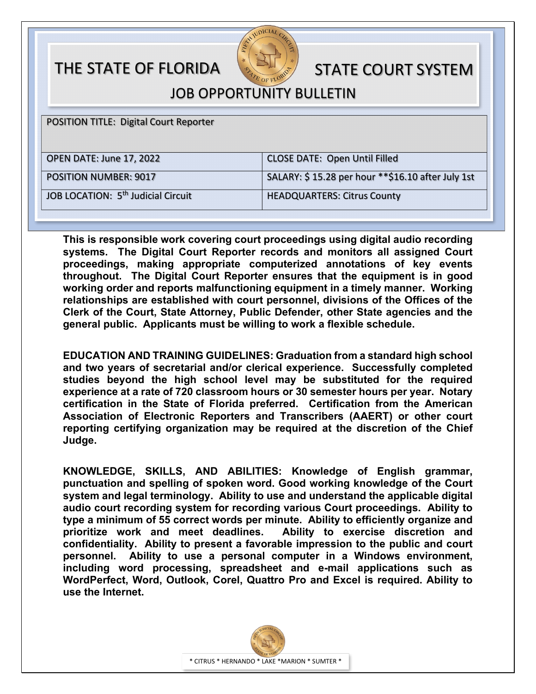## THE STATE OF FLORIDA STATE COURT SYSTEM



JOB OPPORTUNITY BULLETIN

POSITION TITLE: Digital Court Reporter OPEN DATE: June 17, 2022 CLOSE DATE: Open Until Filled POSITION NUMBER: 9017 SALARY: \$ 15.28 per hour \*\*\$16.10 after July 1st JOB LOCATION: 5<sup>th</sup> Judicial Circuit HEADQUARTERS: Citrus County

**This is responsible work covering court proceedings using digital audio recording systems. The Digital Court Reporter records and monitors all assigned Court proceedings, making appropriate computerized annotations of key events throughout. The Digital Court Reporter ensures that the equipment is in good working order and reports malfunctioning equipment in a timely manner. Working relationships are established with court personnel, divisions of the Offices of the Clerk of the Court, State Attorney, Public Defender, other State agencies and the general public. Applicants must be willing to work a flexible schedule.**

**EDUCATION AND TRAINING GUIDELINES: Graduation from a standard high school and two years of secretarial and/or clerical experience. Successfully completed studies beyond the high school level may be substituted for the required experience at a rate of 720 classroom hours or 30 semester hours per year. Notary certification in the State of Florida preferred. Certification from the American Association of Electronic Reporters and Transcribers (AAERT) or other court reporting certifying organization may be required at the discretion of the Chief Judge.**

**KNOWLEDGE, SKILLS, AND ABILITIES: Knowledge of English grammar, punctuation and spelling of spoken word. Good working knowledge of the Court system and legal terminology. Ability to use and understand the applicable digital audio court recording system for recording various Court proceedings. Ability to type a minimum of 55 correct words per minute. Ability to efficiently organize and prioritize work and meet deadlines. Ability to exercise discretion and confidentiality. Ability to present a favorable impression to the public and court personnel. Ability to use a personal computer in a Windows environment, including word processing, spreadsheet and e-mail applications such as WordPerfect, Word, Outlook, Corel, Quattro Pro and Excel is required. Ability to use the Internet.**